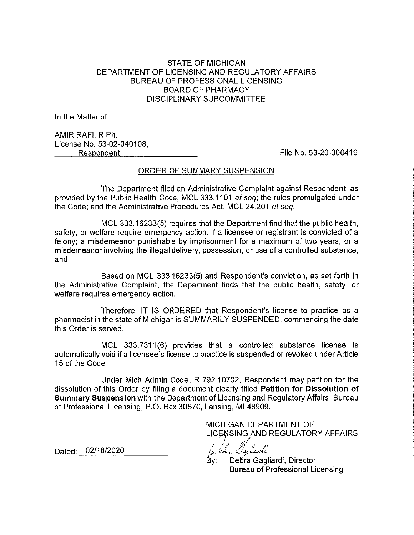# STATE OF MICHIGAN DEPARTMENT OF LICENSING AND REGULATORY AFFAIRS BUREAU OF PROFESSIONAL LICENSING BOARD OF PHARMACY DISCIPLINARY SUBCOMMITTEE

In the Matter of

AMIR RAFI, R.Ph. License No. 53-02-040108, Respondent.

File No. 53-20-000419

### ORDER OF SUMMARY SUSPENSION

The Department filed an Administrative Complaint against Respondent, as provided by the Public Health Code, MCL 333.1101 et seq; the rules promulgated under the Code; and the Administrative Procedures Act, MCL 24.201 et seq.

MCL 333.16233(5) requires that the Department find that the public health, safety, or welfare require emergency action, if a licensee or registrant is convicted of a felony; a misdemeanor punishable by imprisonment for a maximum of two years; or a misdemeanor involving the illegal delivery, possession, or use of a controlled substance; and

Based on MCL 333.16233(5) and Respondent's conviction, as set forth in the Administrative Complaint, the Department finds that the public health, safety, or welfare requires emergency action.

Therefore, IT IS ORDERED that Respondent's license to practice as a pharmacist in the state of Michigan is SUMMARILY SUSPENDED, commencing the date this Order is served.

MCL 333.7311(6) provides that a controlled substance license is automatically void if a licensee's license to practice is suspended or revoked under Article 15 of the Code

Under Mich Admin Code, R 792.10702, Respondent may petition for the dissolution of this Order by filing a document clearly titled Petition for Dissolution of Summary Suspension with the Department of Licensing and Regulatory Affairs, Bureau of Professional Licensing, P.O. Box 30670, Lansing, MI 48909.

> MICHIGAN DEPARTMENT OF LICENSING AND REGULATORY AFFAIRS

 $\overline{1}$ Dayladi

Dated: 02/18/2020

By: Debra Gagliardi, Director Bureau of Professional Licensing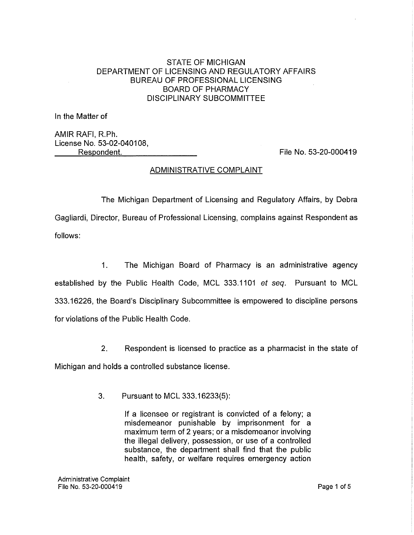# STATE OF MICHIGAN DEPARTMENT OF LICENSING AND REGULATORY AFFAIRS BUREAU OF PROFESSIONAL LICENSING BOARD OF PHARMACY DISCIPLINARY SUBCOMMITTEE

In the Matter of

AMIR RAFI, R.Ph. License No. 53-02-040108, Respondent.

File No. 53-20-000419

# ADMINISTRATIVE COMPLAINT

The Michigan Department of Licensing and Regulatory Affairs, by Debra Gagliardi, Director, Bureau of Professional Licensing, complains against Respondent as follows:

1. The Michigan Board of Pharmacy is an administrative agency established by the Public Health Code, MCL 333.1101 et seq. Pursuant to MCL 333.16226, the Board's Disciplinary Subcommittee is empowered to discipline persons for violations of the Public Health Code.

2. Respondent is licensed to practice as a pharmacist in the state of Michigan and holds a controlled substance license.

3. Pursuant to MCL 333.16233(5):

If a licensee or registrant is convicted of a felony; a misdemeanor punishable by imprisonment for a maximum term of 2 years; or a misdemeanor involving the illegal delivery, possession, or use of a controlled substance, the department shall find that the public health, safety, or welfare requires emergency action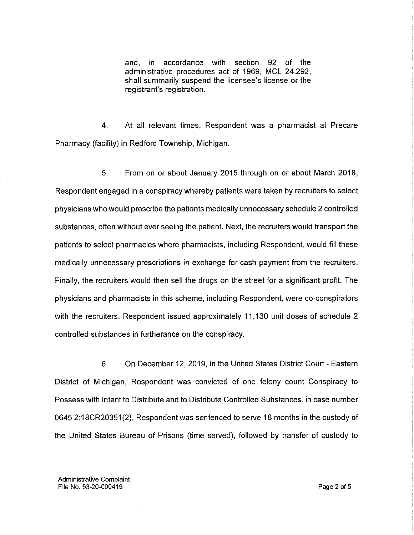and, in accordance with section 92 of the administrative procedures act of 1969, MCL 24.292, shall summarily suspend the licensee's license or the registrant's registration.

4. At all relevant times, Respondent was a pharmacist at Precare Pharmacy (facility) in Redford Township, Michigan.

5. From on or about January 2015 through on or about March 2018, Respondent engaged in a conspiracy whereby patients were taken by recruiters to select physicians who would prescribe the patients medically unnecessary schedule 2 controlled substances, often without ever seeing the patient. Next, the recruiters would transport the patients to select pharmacies where pharmacists, including Respondent, would fill these medically unnecessary prescriptions in exchange for cash payment from the recruiters. Finally, the recruiters would then sell the drugs on the street for a significant profit. The physicians and pharmacists in this scheme, including Respondent, were co-conspirators with the recruiters. Respondent issued approximately 11,130 unit doses of schedule 2 controlled substances in furtherance on the conspiracy.

6. On December 12, 2019, in the United States District Court - Eastern District of Michigan, Respondent was convicted of one felony count Conspiracy to Possess with Intent to Distribute and to Distribute Controlled Substances, in case number 0645 2:18CR20351(2). Respondent was sentenced to serve 18 months in the custody of the United States Bureau of Prisons (time served), followed by transfer of custody to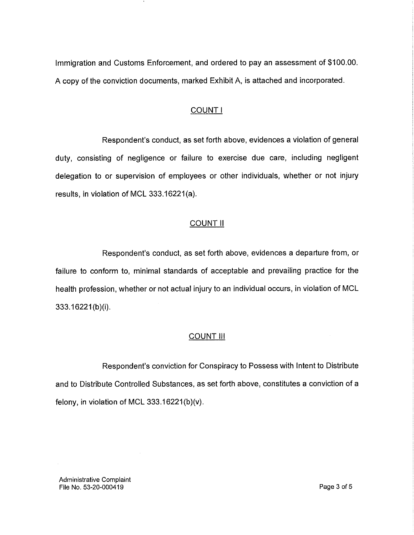Immigration and Customs Enforcement, and ordered to pay an assessment of \$100.00. A copy of the conviction documents, marked Exhibit A, is attached and incorporated.

# COUNT I

Respondent's conduct, as set forth above, evidences a violation of general duty, consisting of negligence or failure to exercise due care, including negligent delegation to or supervision of employees or other individuals, whether or not injury results, in violation of MCL 333.16221(a).

# COUNT II

Respondent's conduct, as set forth above, evidences a departure from, or failure to conform to, minimal standards of acceptable and prevailing practice for the health profession, whether or not actual injury to an individual occurs, in violation of MCL 333.16221(b)(i).

### **COUNT III**

Respondent's conviction for Conspiracy to Possess with Intent to Distribute and to Distribute Controlled Substances, as set forth above, constitutes a conviction of a felony, in violation of MCL 333.16221(b)(v).

Administrative Complaint File No. 53-20-000419 Page 3 of 5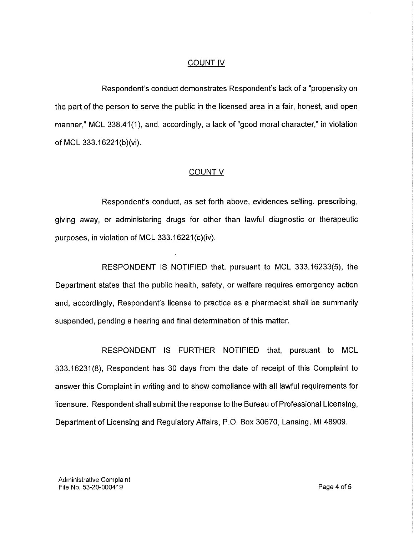### COUNT IV

Respondent's conduct demonstrates Respondent's lack of a "propensity on the part of the person to serve the public in the licensed area in a fair, honest, and open manner," MCL 338.41(1), and, accordingly, a lack of "good moral character," in violation of MCL 333.16221(b)(vi).

### COUNT V

Respondent's conduct, as set forth above, evidences selling, prescribing, giving away, or administering drugs for other than lawful diagnostic or therapeutic purposes, in violation of MCL 333.16221(c)(iv).

RESPONDENT IS NOTIFIED that, pursuant to MCL 333.16233(5), the Department states that the public health, safety, or welfare requires emergency action and, accordingly, Respondent's license to practice as a pharmacist shall be summarily suspended, pending a hearing and final determination of this matter.

RESPONDENT IS FURTHER NOTIFIED that, pursuant to MCL 333.16231(8), Respondent has 30 days from the date of receipt of this Complaint to answer this Complaint in writing and to show compliance with all lawful requirements for licensure. Respondent shall submit the response to the Bureau of Professional Licensing, Department of Licensing and Regulatory Affairs, P.O. Box 30670, Lansing, MI 48909.